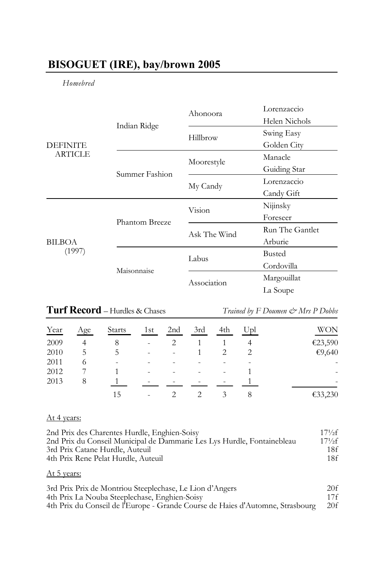## **BISOGUET (IRE), bay/brown 2005**

## *Homebred*

| <b>DEFINITE</b><br><b>ARTICLE</b> |                       | Ahonoora     | Lorenzaccio     |
|-----------------------------------|-----------------------|--------------|-----------------|
|                                   | Indian Ridge          |              | Helen Nichols   |
|                                   |                       | Hillbrow     | Swing Easy      |
|                                   |                       |              | Golden City     |
|                                   |                       | Moorestyle   | Manacle         |
|                                   | Summer Fashion        |              | Guiding Star    |
|                                   |                       | My Candy     | Lorenzaccio     |
|                                   |                       |              | Candy Gift      |
| BILBOA<br>(1997)                  | <b>Phantom Breeze</b> | Vision       | Nijinsky        |
|                                   |                       |              | Foreseer        |
|                                   |                       | Ask The Wind | Run The Gantlet |
|                                   |                       |              | Arburie         |
|                                   | Maisonnaise           | Labus        | <b>Busted</b>   |
|                                   |                       |              | Cordovilla      |
|                                   |                       | Association  | Margouillat     |
|                                   |                       |              | La Soupe        |

# **Turf Record** – Hurdles & Chases *Trained by F Doumen*  $\dot{\mathcal{C}}$  *Mrs P Dobbs*

| Year | Age | <b>Starts</b> | 1st | 2 <sub>nd</sub> | 3rd | 4th    | Upl | WON                      |
|------|-----|---------------|-----|-----------------|-----|--------|-----|--------------------------|
| 2009 |     | 8             | ۰   |                 |     |        |     | €23,590                  |
| 2010 | 5   | C.            |     | ۰               |     |        | 2   | €9,640                   |
| 2011 |     | ۰             |     | ۰               |     | ۰      | ۰   | ۰                        |
| 2012 |     |               |     | ۰               |     | $\sim$ |     | $\overline{\phantom{a}}$ |
| 2013 | 8   |               |     | ۰               |     | $\sim$ |     |                          |
|      |     | 15            | ۰   |                 |     | 3      | 8   | €33,230                  |

#### At 4 years:

| 2nd Prix des Charentes Hurdle, Enghien-Soisy                            | $17\frac{1}{2}f$ |
|-------------------------------------------------------------------------|------------------|
| 2nd Prix du Conseil Municipal de Dammarie Les Lys Hurdle, Fontainebleau | $17\frac{1}{2}f$ |
| 3rd Prix Catane Hurdle, Auteuil                                         | 18f              |
| 4th Prix Rene Pelat Hurdle, Auteuil                                     | 18f              |

## At 5 years:

| 3rd Prix Prix de Montriou Steeplechase, Le Lion d'Angers                       | 20f |
|--------------------------------------------------------------------------------|-----|
| 4th Prix La Nouba Steeplechase, Enghien-Soisy                                  | 17f |
| 4th Prix du Conseil de l'Europe - Grande Course de Haies d'Automne, Strasbourg | 20f |